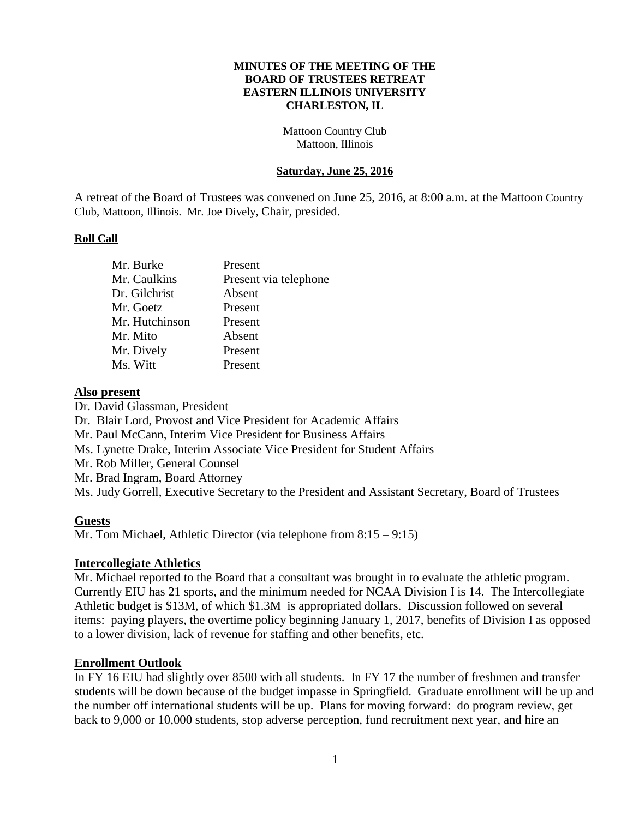#### **MINUTES OF THE MEETING OF THE BOARD OF TRUSTEES RETREAT EASTERN ILLINOIS UNIVERSITY CHARLESTON, IL**

Mattoon Country Club Mattoon, Illinois

#### **Saturday, June 25, 2016**

A retreat of the Board of Trustees was convened on June 25, 2016, at 8:00 a.m. at the Mattoon Country Club, Mattoon, Illinois. Mr. Joe Dively, Chair, presided.

#### **Roll Call**

| Mr. Burke      | Present               |
|----------------|-----------------------|
| Mr. Caulkins   | Present via telephone |
| Dr. Gilchrist  | Absent                |
| Mr. Goetz      | Present               |
| Mr. Hutchinson | Present               |
| Mr. Mito       | Absent                |
| Mr. Dively     | Present               |
| Ms. Witt       | Present               |

#### **Also present**

Dr. David Glassman, President Dr. Blair Lord, Provost and Vice President for Academic Affairs Mr. Paul McCann, Interim Vice President for Business Affairs Ms. Lynette Drake, Interim Associate Vice President for Student Affairs Mr. Rob Miller, General Counsel Mr. Brad Ingram, Board Attorney Ms. Judy Gorrell, Executive Secretary to the President and Assistant Secretary, Board of Trustees

### **Guests**

Mr. Tom Michael, Athletic Director (via telephone from 8:15 – 9:15)

### **Intercollegiate Athletics**

Mr. Michael reported to the Board that a consultant was brought in to evaluate the athletic program. Currently EIU has 21 sports, and the minimum needed for NCAA Division I is 14. The Intercollegiate Athletic budget is \$13M, of which \$1.3M is appropriated dollars. Discussion followed on several items: paying players, the overtime policy beginning January 1, 2017, benefits of Division I as opposed to a lower division, lack of revenue for staffing and other benefits, etc.

### **Enrollment Outlook**

In FY 16 EIU had slightly over 8500 with all students. In FY 17 the number of freshmen and transfer students will be down because of the budget impasse in Springfield. Graduate enrollment will be up and the number off international students will be up. Plans for moving forward: do program review, get back to 9,000 or 10,000 students, stop adverse perception, fund recruitment next year, and hire an